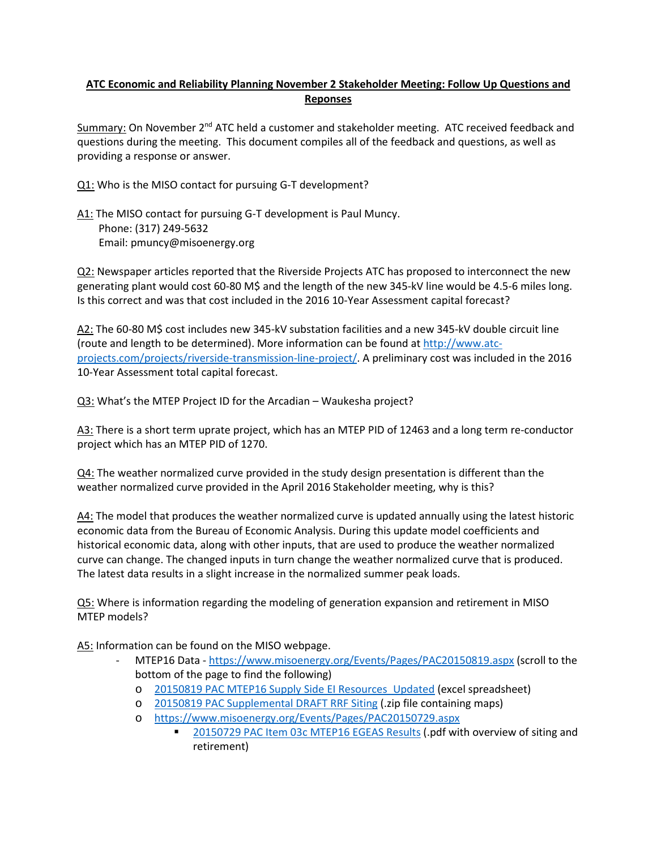## **ATC Economic and Reliability Planning November 2 Stakeholder Meeting: Follow Up Questions and Reponses**

Summary: On November  $2^{nd}$  ATC held a customer and stakeholder meeting. ATC received feedback and questions during the meeting. This document compiles all of the feedback and questions, as well as providing a response or answer.

- Q1: Who is the MISO contact for pursuing G-T development?
- A1: The MISO contact for pursuing G-T development is Paul Muncy. Phone: (317) 249-5632 Email: pmuncy@misoenergy.org

Q2: Newspaper articles reported that the Riverside Projects ATC has proposed to interconnect the new generating plant would cost 60-80 M\$ and the length of the new 345-kV line would be 4.5-6 miles long. Is this correct and was that cost included in the 2016 10-Year Assessment capital forecast?

A2: The 60-80 M\$ cost includes new 345-kV substation facilities and a new 345-kV double circuit line (route and length to be determined). More information can be found a[t http://www.atc](http://www.atc-projects.com/projects/riverside-transmission-line-project/)[projects.com/projects/riverside-transmission-line-project/.](http://www.atc-projects.com/projects/riverside-transmission-line-project/) A preliminary cost was included in the 2016 10-Year Assessment total capital forecast.

Q3: What's the MTEP Project ID for the Arcadian – Waukesha project?

A3: There is a short term uprate project, which has an MTEP PID of 12463 and a long term re-conductor project which has an MTEP PID of 1270.

 $Q4$ : The weather normalized curve provided in the study design presentation is different than the weather normalized curve provided in the April 2016 Stakeholder meeting, why is this?

A4: The model that produces the weather normalized curve is updated annually using the latest historic economic data from the Bureau of Economic Analysis. During this update model coefficients and historical economic data, along with other inputs, that are used to produce the weather normalized curve can change. The changed inputs in turn change the weather normalized curve that is produced. The latest data results in a slight increase in the normalized summer peak loads.

Q5: Where is information regarding the modeling of generation expansion and retirement in MISO MTEP models?

A5: Information can be found on the MISO webpage.

- MTEP16 Data <https://www.misoenergy.org/Events/Pages/PAC20150819.aspx> (scroll to the bottom of the page to find the following)
	- o [20150819 PAC MTEP16 Supply Side EI Resources\\_Updated](https://www.misoenergy.org/_layouts/MISO/ECM/Redirect.aspx?ID=209262) (excel spreadsheet)
	- o [20150819 PAC Supplemental DRAFT RRF Siting](https://www.misoenergy.org/_layouts/MISO/ECM/Redirect.aspx?ID=206315) (.zip file containing maps)
	- o <https://www.misoenergy.org/Events/Pages/PAC20150729.aspx>
		- [20150729 PAC Item 03c MTEP16 EGEAS Results](https://www.misoenergy.org/_layouts/MISO/ECM/Redirect.aspx?ID=204388) (.pdf with overview of siting and retirement)